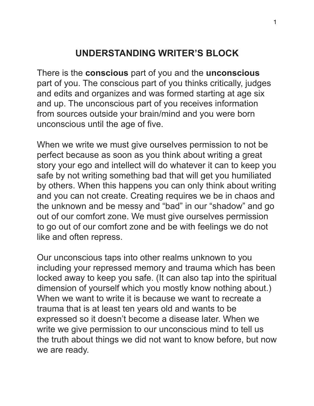## **UNDERSTANDING WRITER'S BLOCK**

There is the **conscious** part of you and the **unconscious**  part of you. The conscious part of you thinks critically, judges and edits and organizes and was formed starting at age six and up. The unconscious part of you receives information from sources outside your brain/mind and you were born unconscious until the age of five.

When we write we must give ourselves permission to not be perfect because as soon as you think about writing a great story your ego and intellect will do whatever it can to keep you safe by not writing something bad that will get you humiliated by others. When this happens you can only think about writing and you can not create. Creating requires we be in chaos and the unknown and be messy and "bad" in our "shadow" and go out of our comfort zone. We must give ourselves permission to go out of our comfort zone and be with feelings we do not like and often repress.

Our unconscious taps into other realms unknown to you including your repressed memory and trauma which has been locked away to keep you safe. (It can also tap into the spiritual dimension of yourself which you mostly know nothing about.) When we want to write it is because we want to recreate a trauma that is at least ten years old and wants to be expressed so it doesn't become a disease later. When we write we give permission to our unconscious mind to tell us the truth about things we did not want to know before, but now we are ready.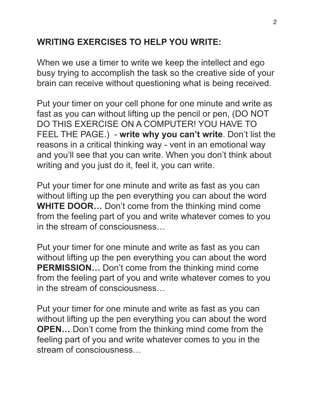## **WRITING EXERCISES TO HELP YOU WRITE:**

When we use a timer to write we keep the intellect and ego busy trying to accomplish the task so the creative side of your brain can receive without questioning what is being received.

Put your timer on your cell phone for one minute and write as fast as you can without lifting up the pencil or pen, (DO NOT DO THIS EXERCISE ON A COMPUTER! YOU HAVE TO FEEL THE PAGE.) - **write why you can't write**. Don't list the reasons in a critical thinking way - vent in an emotional way and you'll see that you can write. When you don't think about writing and you just do it, feel it, you can write.

Put your timer for one minute and write as fast as you can without lifting up the pen everything you can about the word **WHITE DOOR…** Don't come from the thinking mind come from the feeling part of you and write whatever comes to you in the stream of consciousness…

Put your timer for one minute and write as fast as you can without lifting up the pen everything you can about the word **PERMISSION…** Don't come from the thinking mind come from the feeling part of you and write whatever comes to you in the stream of consciousness…

Put your timer for one minute and write as fast as you can without lifting up the pen everything you can about the word **OPEN...** Don't come from the thinking mind come from the feeling part of you and write whatever comes to you in the stream of consciousness…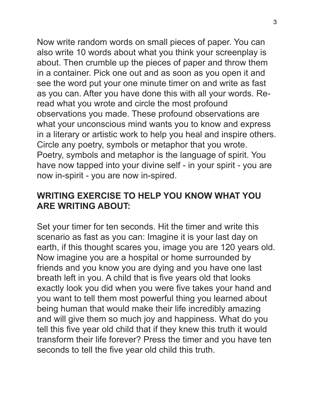Now write random words on small pieces of paper. You can also write 10 words about what you think your screenplay is about. Then crumble up the pieces of paper and throw them in a container. Pick one out and as soon as you open it and see the word put your one minute timer on and write as fast as you can. After you have done this with all your words. Reread what you wrote and circle the most profound observations you made. These profound observations are what your unconscious mind wants you to know and express in a literary or artistic work to help you heal and inspire others. Circle any poetry, symbols or metaphor that you wrote. Poetry, symbols and metaphor is the language of spirit. You have now tapped into your divine self - in your spirit - you are now in-spirit - you are now in-spired.

## **WRITING EXERCISE TO HELP YOU KNOW WHAT YOU ARE WRITING ABOUT:**

Set your timer for ten seconds. Hit the timer and write this scenario as fast as you can: Imagine it is your last day on earth, if this thought scares you, image you are 120 years old. Now imagine you are a hospital or home surrounded by friends and you know you are dying and you have one last breath left in you. A child that is five years old that looks exactly look you did when you were five takes your hand and you want to tell them most powerful thing you learned about being human that would make their life incredibly amazing and will give them so much joy and happiness. What do you tell this five year old child that if they knew this truth it would transform their life forever? Press the timer and you have ten seconds to tell the five year old child this truth.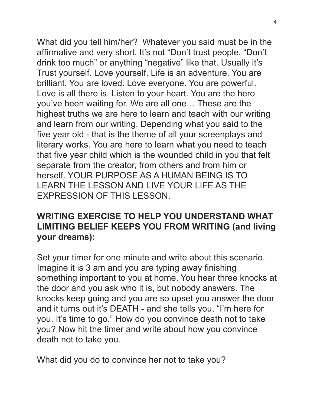What did you tell him/her? Whatever you said must be in the affirmative and very short. It's not "Don't trust people. "Don't drink too much" or anything "negative" like that. Usually it's Trust yourself. Love yourself. Life is an adventure. You are brilliant. You are loved. Love everyone. You are powerful. Love is all there is. Listen to your heart. You are the hero you've been waiting for. We are all one… These are the highest truths we are here to learn and teach with our writing and learn from our writing. Depending what you said to the five year old - that is the theme of all your screenplays and literary works. You are here to learn what you need to teach that five year child which is the wounded child in you that felt separate from the creator, from others and from him or herself. YOUR PURPOSE AS A HUMAN BEING IS TO LEARN THE LESSON AND LIVE YOUR LIFE AS THE EXPRESSION OF THIS LESSON.

## **WRITING EXERCISE TO HELP YOU UNDERSTAND WHAT LIMITING BELIEF KEEPS YOU FROM WRITING (and living your dreams):**

Set your timer for one minute and write about this scenario. Imagine it is 3 am and you are typing away finishing something important to you at home. You hear three knocks at the door and you ask who it is, but nobody answers. The knocks keep going and you are so upset you answer the door and it turns out it's DEATH - and she tells you, "I'm here for you. It's time to go." How do you convince death not to take you? Now hit the timer and write about how you convince death not to take you.

What did you do to convince her not to take you?